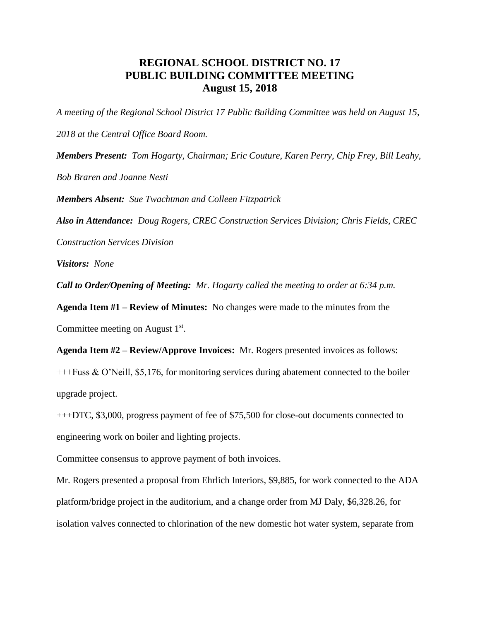## **REGIONAL SCHOOL DISTRICT NO. 17 PUBLIC BUILDING COMMITTEE MEETING August 15, 2018**

*A meeting of the Regional School District 17 Public Building Committee was held on August 15, 2018 at the Central Office Board Room. Members Present: Tom Hogarty, Chairman; Eric Couture, Karen Perry, Chip Frey, Bill Leahy, Bob Braren and Joanne Nesti*

*Members Absent: Sue Twachtman and Colleen Fitzpatrick*

*Also in Attendance: Doug Rogers, CREC Construction Services Division; Chris Fields, CREC* 

*Construction Services Division*

*Visitors: None*

*Call to Order/Opening of Meeting: Mr. Hogarty called the meeting to order at 6:34 p.m.*

**Agenda Item #1 – Review of Minutes:** No changes were made to the minutes from the Committee meeting on August  $1<sup>st</sup>$ .

**Agenda Item #2 – Review/Approve Invoices:** Mr. Rogers presented invoices as follows: +++Fuss & O'Neill, \$5,176, for monitoring services during abatement connected to the boiler upgrade project.

+++DTC, \$3,000, progress payment of fee of \$75,500 for close-out documents connected to engineering work on boiler and lighting projects.

Committee consensus to approve payment of both invoices.

Mr. Rogers presented a proposal from Ehrlich Interiors, \$9,885, for work connected to the ADA platform/bridge project in the auditorium, and a change order from MJ Daly, \$6,328.26, for isolation valves connected to chlorination of the new domestic hot water system, separate from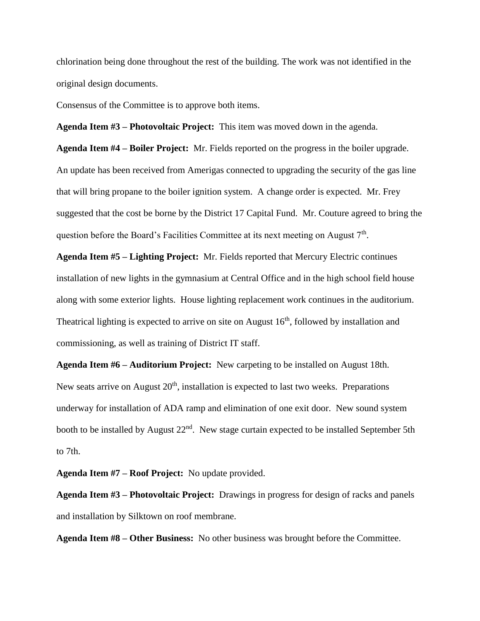chlorination being done throughout the rest of the building. The work was not identified in the original design documents.

Consensus of the Committee is to approve both items.

**Agenda Item #3 – Photovoltaic Project:** This item was moved down in the agenda.

**Agenda Item #4 – Boiler Project:** Mr. Fields reported on the progress in the boiler upgrade. An update has been received from Amerigas connected to upgrading the security of the gas line that will bring propane to the boiler ignition system. A change order is expected. Mr. Frey suggested that the cost be borne by the District 17 Capital Fund. Mr. Couture agreed to bring the question before the Board's Facilities Committee at its next meeting on August  $7<sup>th</sup>$ .

**Agenda Item #5 – Lighting Project:** Mr. Fields reported that Mercury Electric continues installation of new lights in the gymnasium at Central Office and in the high school field house along with some exterior lights. House lighting replacement work continues in the auditorium. Theatrical lighting is expected to arrive on site on August  $16<sup>th</sup>$ , followed by installation and commissioning, as well as training of District IT staff.

**Agenda Item #6 – Auditorium Project:** New carpeting to be installed on August 18th. New seats arrive on August  $20<sup>th</sup>$ , installation is expected to last two weeks. Preparations underway for installation of ADA ramp and elimination of one exit door. New sound system booth to be installed by August 22<sup>nd</sup>. New stage curtain expected to be installed September 5th to 7th.

**Agenda Item #7 – Roof Project:** No update provided.

**Agenda Item #3 – Photovoltaic Project:** Drawings in progress for design of racks and panels and installation by Silktown on roof membrane.

**Agenda Item #8 – Other Business:** No other business was brought before the Committee.